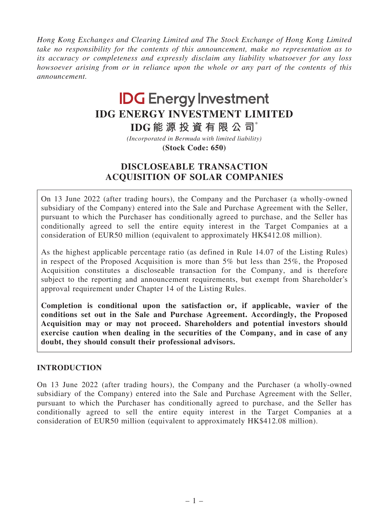*Hong Kong Exchanges and Clearing Limited and The Stock Exchange of Hong Kong Limited take no responsibility for the contents of this announcement, make no representation as to its accuracy or completeness and expressly disclaim any liability whatsoever for any loss howsoever arising from or in reliance upon the whole or any part of the contents of this announcement.*

# **IDG Energy Investment IDG ENERGY INVESTMENT LIMITED**

**IDG 能 源 投 資 有 限 公 司**\*

**(Stock Code: 650)** *(Incorporated in Bermuda with limited liability)*

# DISCLOSEABLE TRANSACTION ACQUISITION OF SOLAR COMPANIES

On 13 June 2022 (after trading hours), the Company and the Purchaser (a wholly-owned subsidiary of the Company) entered into the Sale and Purchase Agreement with the Seller, pursuant to which the Purchaser has conditionally agreed to purchase, and the Seller has conditionally agreed to sell the entire equity interest in the Target Companies at a consideration of EUR50 million (equivalent to approximately HK\$412.08 million).

As the highest applicable percentage ratio (as defined in Rule 14.07 of the Listing Rules) in respect of the Proposed Acquisition is more than 5% but less than 25%, the Proposed Acquisition constitutes a discloseable transaction for the Company, and is therefore subject to the reporting and announcement requirements, but exempt from Shareholder's approval requirement under Chapter 14 of the Listing Rules.

Completion is conditional upon the satisfaction or, if applicable, wavier of the conditions set out in the Sale and Purchase Agreement. Accordingly, the Proposed Acquisition may or may not proceed. Shareholders and potential investors should exercise caution when dealing in the securities of the Company, and in case of any doubt, they should consult their professional advisors.

#### INTRODUCTION

On 13 June 2022 (after trading hours), the Company and the Purchaser (a wholly-owned subsidiary of the Company) entered into the Sale and Purchase Agreement with the Seller, pursuant to which the Purchaser has conditionally agreed to purchase, and the Seller has conditionally agreed to sell the entire equity interest in the Target Companies at a consideration of EUR50 million (equivalent to approximately HK\$412.08 million).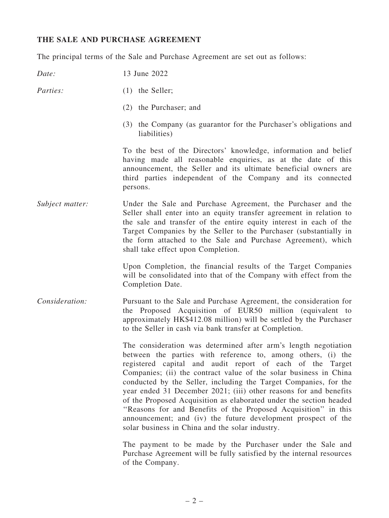#### THE SALE AND PURCHASE AGREEMENT

The principal terms of the Sale and Purchase Agreement are set out as follows:

*Date:* 13 June 2022

- *Parties:* (1) the Seller:
	- (2) the Purchaser; and
	- (3) the Company (as guarantor for the Purchaser's obligations and liabilities)

To the best of the Directors' knowledge, information and belief having made all reasonable enquiries, as at the date of this announcement, the Seller and its ultimate beneficial owners are third parties independent of the Company and its connected persons.

*Subject matter:* Under the Sale and Purchase Agreement, the Purchaser and the Seller shall enter into an equity transfer agreement in relation to the sale and transfer of the entire equity interest in each of the Target Companies by the Seller to the Purchaser (substantially in the form attached to the Sale and Purchase Agreement), which shall take effect upon Completion.

> Upon Completion, the financial results of the Target Companies will be consolidated into that of the Company with effect from the Completion Date.

*Consideration:* Pursuant to the Sale and Purchase Agreement, the consideration for the Proposed Acquisition of EUR50 million (equivalent to approximately HK\$412.08 million) will be settled by the Purchaser to the Seller in cash via bank transfer at Completion.

> The consideration was determined after arm's length negotiation between the parties with reference to, among others, (i) the registered capital and audit report of each of the Target Companies; (ii) the contract value of the solar business in China conducted by the Seller, including the Target Companies, for the year ended 31 December 2021; (iii) other reasons for and benefits of the Proposed Acquisition as elaborated under the section headed ''Reasons for and Benefits of the Proposed Acquisition'' in this announcement; and (iv) the future development prospect of the solar business in China and the solar industry.

> The payment to be made by the Purchaser under the Sale and Purchase Agreement will be fully satisfied by the internal resources of the Company.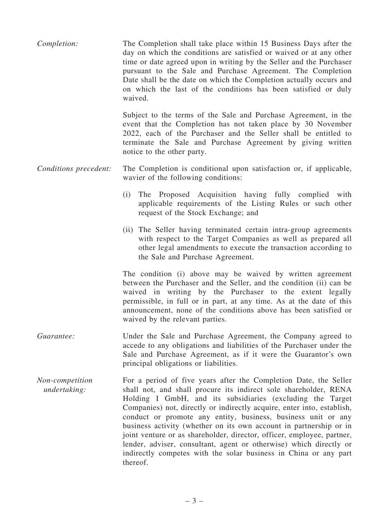*Completion:* The Completion shall take place within 15 Business Days after the day on which the conditions are satisfied or waived or at any other time or date agreed upon in writing by the Seller and the Purchaser pursuant to the Sale and Purchase Agreement. The Completion Date shall be the date on which the Completion actually occurs and on which the last of the conditions has been satisfied or duly waived.

> Subject to the terms of the Sale and Purchase Agreement, in the event that the Completion has not taken place by 30 November 2022, each of the Purchaser and the Seller shall be entitled to terminate the Sale and Purchase Agreement by giving written notice to the other party.

#### *Conditions precedent:* The Completion is conditional upon satisfaction or, if applicable, wavier of the following conditions:

- (i) The Proposed Acquisition having fully complied with applicable requirements of the Listing Rules or such other request of the Stock Exchange; and
- (ii) The Seller having terminated certain intra-group agreements with respect to the Target Companies as well as prepared all other legal amendments to execute the transaction according to the Sale and Purchase Agreement.

The condition (i) above may be waived by written agreement between the Purchaser and the Seller, and the condition (ii) can be waived in writing by the Purchaser to the extent legally permissible, in full or in part, at any time. As at the date of this announcement, none of the conditions above has been satisfied or waived by the relevant parties.

- *Guarantee:* Under the Sale and Purchase Agreement, the Company agreed to accede to any obligations and liabilities of the Purchaser under the Sale and Purchase Agreement, as if it were the Guarantor's own principal obligations or liabilities.
- *Non-competition undertaking:* For a period of five years after the Completion Date, the Seller shall not, and shall procure its indirect sole shareholder, RENA Holding I GmbH, and its subsidiaries (excluding the Target Companies) not, directly or indirectly acquire, enter into, establish, conduct or promote any entity, business, business unit or any business activity (whether on its own account in partnership or in joint venture or as shareholder, director, officer, employee, partner, lender, adviser, consultant, agent or otherwise) which directly or indirectly competes with the solar business in China or any part thereof.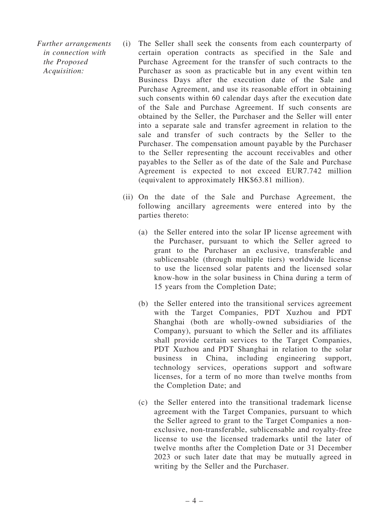*Further arrangements in connection with the Proposed Acquisition:*

- (i) The Seller shall seek the consents from each counterparty of certain operation contracts as specified in the Sale and Purchase Agreement for the transfer of such contracts to the Purchaser as soon as practicable but in any event within ten Business Days after the execution date of the Sale and Purchase Agreement, and use its reasonable effort in obtaining such consents within 60 calendar days after the execution date of the Sale and Purchase Agreement. If such consents are obtained by the Seller, the Purchaser and the Seller will enter into a separate sale and transfer agreement in relation to the sale and transfer of such contracts by the Seller to the Purchaser. The compensation amount payable by the Purchaser to the Seller representing the account receivables and other payables to the Seller as of the date of the Sale and Purchase Agreement is expected to not exceed EUR7.742 million (equivalent to approximately HK\$63.81 million).
- (ii) On the date of the Sale and Purchase Agreement, the following ancillary agreements were entered into by the parties thereto:
	- (a) the Seller entered into the solar IP license agreement with the Purchaser, pursuant to which the Seller agreed to grant to the Purchaser an exclusive, transferable and sublicensable (through multiple tiers) worldwide license to use the licensed solar patents and the licensed solar know-how in the solar business in China during a term of 15 years from the Completion Date;
	- (b) the Seller entered into the transitional services agreement with the Target Companies, PDT Xuzhou and PDT Shanghai (both are wholly-owned subsidiaries of the Company), pursuant to which the Seller and its affiliates shall provide certain services to the Target Companies, PDT Xuzhou and PDT Shanghai in relation to the solar business in China, including engineering support, technology services, operations support and software licenses, for a term of no more than twelve months from the Completion Date; and
	- (c) the Seller entered into the transitional trademark license agreement with the Target Companies, pursuant to which the Seller agreed to grant to the Target Companies a nonexclusive, non-transferable, sublicensable and royalty-free license to use the licensed trademarks until the later of twelve months after the Completion Date or 31 December 2023 or such later date that may be mutually agreed in writing by the Seller and the Purchaser.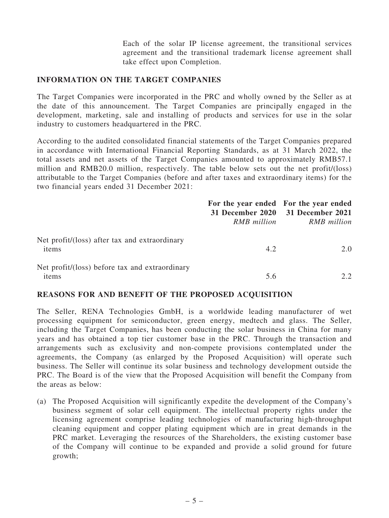Each of the solar IP license agreement, the transitional services agreement and the transitional trademark license agreement shall take effect upon Completion.

#### INFORMATION ON THE TARGET COMPANIES

The Target Companies were incorporated in the PRC and wholly owned by the Seller as at the date of this announcement. The Target Companies are principally engaged in the development, marketing, sale and installing of products and services for use in the solar industry to customers headquartered in the PRC.

According to the audited consolidated financial statements of the Target Companies prepared in accordance with International Financial Reporting Standards, as at 31 March 2022, the total assets and net assets of the Target Companies amounted to approximately RMB57.1 million and RMB20.0 million, respectively. The table below sets out the net profit/(loss) attributable to the Target Companies (before and after taxes and extraordinary items) for the two financial years ended 31 December 2021:

|                                                         | RMB million | For the year ended For the year ended<br>31 December 2020 31 December 2021<br><b>RMB</b> million |
|---------------------------------------------------------|-------------|--------------------------------------------------------------------------------------------------|
| Net profit/(loss) after tax and extraordinary<br>items  | 4.2         | 2.0                                                                                              |
| Net profit/(loss) before tax and extraordinary<br>items | 5.6         | 2.2                                                                                              |

#### REASONS FOR AND BENEFIT OF THE PROPOSED ACQUISITION

The Seller, RENA Technologies GmbH, is a worldwide leading manufacturer of wet processing equipment for semiconductor, green energy, medtech and glass. The Seller, including the Target Companies, has been conducting the solar business in China for many years and has obtained a top tier customer base in the PRC. Through the transaction and arrangements such as exclusivity and non-compete provisions contemplated under the agreements, the Company (as enlarged by the Proposed Acquisition) will operate such business. The Seller will continue its solar business and technology development outside the PRC. The Board is of the view that the Proposed Acquisition will benefit the Company from the areas as below:

(a) The Proposed Acquisition will significantly expedite the development of the Company's business segment of solar cell equipment. The intellectual property rights under the licensing agreement comprise leading technologies of manufacturing high-throughput cleaning equipment and copper plating equipment which are in great demands in the PRC market. Leveraging the resources of the Shareholders, the existing customer base of the Company will continue to be expanded and provide a solid ground for future growth;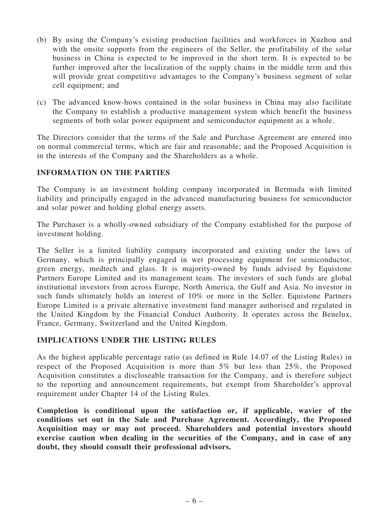- (b) By using the Company's existing production facilities and workforces in Xuzhou and with the onsite supports from the engineers of the Seller, the profitability of the solar business in China is expected to be improved in the short term. It is expected to be further improved after the localization of the supply chains in the middle term and this will provide great competitive advantages to the Company's business segment of solar cell equipment; and
- (c) The advanced know-hows contained in the solar business in China may also facilitate the Company to establish a productive management system which benefit the business segments of both solar power equipment and semiconductor equipment as a whole.

The Directors consider that the terms of the Sale and Purchase Agreement are entered into on normal commercial terms, which are fair and reasonable; and the Proposed Acquisition is in the interests of the Company and the Shareholders as a whole.

### INFORMATION ON THE PARTIES

The Company is an investment holding company incorporated in Bermuda with limited liability and principally engaged in the advanced manufacturing business for semiconductor and solar power and holding global energy assets.

The Purchaser is a wholly-owned subsidiary of the Company established for the purpose of investment holding.

The Seller is a limited liability company incorporated and existing under the laws of Germany, which is principally engaged in wet processing equipment for semiconductor, green energy, medtech and glass. It is majority-owned by funds advised by Equistone Partners Europe Limited and its management team. The investors of such funds are global institutional investors from across Europe, North America, the Gulf and Asia. No investor in such funds ultimately holds an interest of 10% or more in the Seller. Equistone Partners Europe Limited is a private alternative investment fund manager authorised and regulated in the United Kingdom by the Financial Conduct Authority. It operates across the Benelux, France, Germany, Switzerland and the United Kingdom.

#### IMPLICATIONS UNDER THE LISTING RULES

As the highest applicable percentage ratio (as defined in Rule 14.07 of the Listing Rules) in respect of the Proposed Acquisition is more than 5% but less than 25%, the Proposed Acquisition constitutes a discloseable transaction for the Company, and is therefore subject to the reporting and announcement requirements, but exempt from Shareholder's approval requirement under Chapter 14 of the Listing Rules.

Completion is conditional upon the satisfaction or, if applicable, wavier of the conditions set out in the Sale and Purchase Agreement. Accordingly, the Proposed Acquisition may or may not proceed. Shareholders and potential investors should exercise caution when dealing in the securities of the Company, and in case of any doubt, they should consult their professional advisors.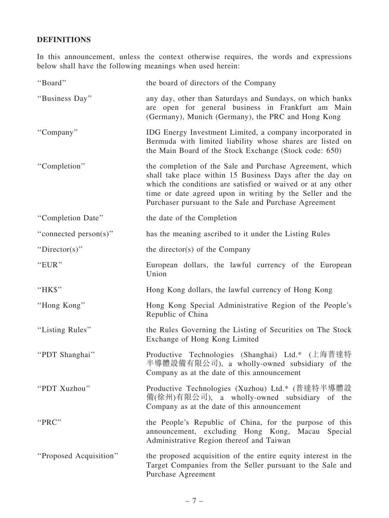## DEFINITIONS

In this announcement, unless the context otherwise requires, the words and expressions below shall have the following meanings when used herein:

| "Board"                | the board of directors of the Company                                                                                                                                                                                                                                                                       |
|------------------------|-------------------------------------------------------------------------------------------------------------------------------------------------------------------------------------------------------------------------------------------------------------------------------------------------------------|
| "Business Day"         | any day, other than Saturdays and Sundays, on which banks<br>are open for general business in Frankfurt am Main<br>(Germany), Munich (Germany), the PRC and Hong Kong                                                                                                                                       |
| "Company"              | IDG Energy Investment Limited, a company incorporated in<br>Bermuda with limited liability whose shares are listed on<br>the Main Board of the Stock Exchange (Stock code: 650)                                                                                                                             |
| "Completion"           | the completion of the Sale and Purchase Agreement, which<br>shall take place within 15 Business Days after the day on<br>which the conditions are satisfied or waived or at any other<br>time or date agreed upon in writing by the Seller and the<br>Purchaser pursuant to the Sale and Purchase Agreement |
| "Completion Date"      | the date of the Completion                                                                                                                                                                                                                                                                                  |
| "connected person(s)"  | has the meaning ascribed to it under the Listing Rules                                                                                                                                                                                                                                                      |
| "Director(s)"          | the director(s) of the Company                                                                                                                                                                                                                                                                              |
| "EUR"                  | European dollars, the lawful currency of the European<br>Union                                                                                                                                                                                                                                              |
| "HK\$"                 | Hong Kong dollars, the lawful currency of Hong Kong                                                                                                                                                                                                                                                         |
| "Hong Kong"            | Hong Kong Special Administrative Region of the People's<br>Republic of China                                                                                                                                                                                                                                |
| "Listing Rules"        | the Rules Governing the Listing of Securities on The Stock<br>Exchange of Hong Kong Limited                                                                                                                                                                                                                 |
| "PDT Shanghai"         | Productive Technologies (Shanghai) Ltd.* (上海普達特<br>半導體設備有限公司), a wholly-owned subsidiary of the<br>Company as at the date of this announcement                                                                                                                                                              |
| "PDT Xuzhou"           | Productive Technologies (Xuzhou) Ltd.* (普達特半導體設<br>備(徐州)有限公司), a wholly-owned subsidiary of the<br>Company as at the date of this announcement                                                                                                                                                              |
| "PRC"                  | the People's Republic of China, for the purpose of this<br>announcement, excluding Hong Kong, Macau Special<br>Administrative Region thereof and Taiwan                                                                                                                                                     |
| "Proposed Acquisition" | the proposed acquisition of the entire equity interest in the<br>Target Companies from the Seller pursuant to the Sale and<br>Purchase Agreement                                                                                                                                                            |